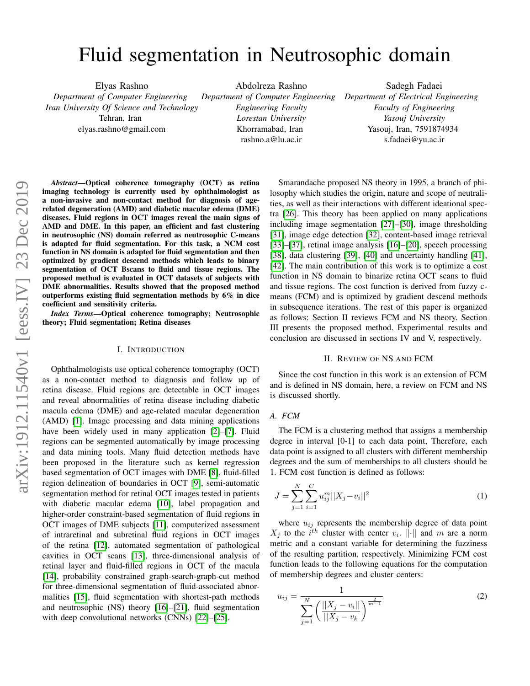# Fluid segmentation in Neutrosophic domain

Elyas Rashno *Department of Computer Engineering Iran University Of Science and Technology* Tehran, Iran

elyas.rashno@gmail.com

Abdolreza Rashno *Department of Computer Engineering Engineering Faculty Lorestan University* Khorramabad, Iran rashno.a@lu.ac.ir

Sadegh Fadaei *Department of Electrical Engineering Faculty of Engineering Yasouj University* Yasouj, Iran, 7591874934 s.fadaei@yu.ac.ir

*Abstract*—Optical coherence tomography (OCT) as retina imaging technology is currently used by ophthalmologist as a non-invasive and non-contact method for diagnosis of agerelated degeneration (AMD) and diabetic macular edema (DME) diseases. Fluid regions in OCT images reveal the main signs of AMD and DME. In this paper, an efficient and fast clustering in neutrosophic (NS) domain referred as neutrosophic C-means is adapted for fluid segmentation. For this task, a NCM cost function in NS domain is adapted for fluid segmentation and then optimized by gradient descend methods which leads to binary segmentation of OCT Bscans to fluid and tissue regions. The proposed method is evaluated in OCT datasets of subjects with DME abnormalities. Results showed that the proposed method outperforms existing fluid segmentation methods by 6% in dice coefficient and sensitivity criteria.

*Index Terms*—Optical coherence tomography; Neutrosophic theory; Fluid segmentation; Retina diseases

#### I. INTRODUCTION

Ophthalmologists use optical coherence tomography (OCT) as a non-contact method to diagnosis and follow up of retina disease. Fluid regions are detectable in OCT images and reveal abnormalities of retina disease including diabetic macula edema (DME) and age-related macular degeneration (AMD) [\[1\]](#page-2-0). Image processing and data mining applications have been widely used in many application [\[2\]](#page-2-1)–[\[7\]](#page-3-0). Fluid regions can be segmented automatically by image processing and data mining tools. Many fluid detection methods have been proposed in the literature such as kernel regression based segmentation of OCT images with DME [\[8\]](#page-3-1), fluid-filled region delineation of boundaries in OCT [\[9\]](#page-3-2), semi-automatic segmentation method for retinal OCT images tested in patients with diabetic macular edema [\[10\]](#page-3-3), label propagation and higher-order constraint-based segmentation of fluid regions in OCT images of DME subjects [\[11\]](#page-3-4), computerized assessment of intraretinal and subretinal fluid regions in OCT images of the retina [\[12\]](#page-3-5), automated segmentation of pathological cavities in OCT scans [\[13\]](#page-3-6), three-dimensional analysis of retinal layer and fluid-filled regions in OCT of the macula [\[14\]](#page-3-7), probability constrained graph-search-graph-cut method for three-dimensional segmentation of fluid-associated abnormalities [\[15\]](#page-3-8), fluid segmentation with shortest-path methods and neutrosophic (NS) theory [\[16\]](#page-3-9)–[\[21\]](#page-3-10), fluid segmentation with deep convolutional networks (CNNs) [\[22\]](#page-3-11)–[\[25\]](#page-3-12).

Smarandache proposed NS theory in 1995, a branch of philosophy which studies the origin, nature and scope of neutralities, as well as their interactions with different ideational spectra [\[26\]](#page-3-13). This theory has been applied on many applications including image segmentation [\[27\]](#page-3-14)–[\[30\]](#page-3-15), image thresholding [\[31\]](#page-3-16), image edge detection [\[32\]](#page-3-17), content-based image retrieval [\[33\]](#page-3-18)–[\[37\]](#page-4-0), retinal image analysis [\[16\]](#page-3-9)–[\[20\]](#page-3-19), speech processing [\[38\]](#page-4-1), data clustering [\[39\]](#page-4-2), [\[40\]](#page-4-3) and uncertainty handling [\[41\]](#page-4-4), [\[42\]](#page-4-5). The main contribution of this work is to optimize a cost function in NS domain to binarize retina OCT scans to fluid and tissue regions. The cost function is derived from fuzzy cmeans (FCM) and is optimized by gradient descend methods in subsequence iterations. The rest of this paper is organized as follows: Section II reviews FCM and NS theory. Section III presents the proposed method. Experimental results and conclusion are discussed in sections IV and V, respectively.

## II. REVIEW OF NS AND FCM

Since the cost function in this work is an extension of FCM and is defined in NS domain, here, a review on FCM and NS is discussed shortly.

#### *A. FCM*

The FCM is a clustering method that assigns a membership degree in interval [0-1] to each data point, Therefore, each data point is assigned to all clusters with different membership degrees and the sum of memberships to all clusters should be 1. FCM cost function is defined as follows:

$$
J = \sum_{j=1}^{N} \sum_{i=1}^{C} u_{ij}^{m} ||X_j - v_i||^2
$$
 (1)

where  $u_{ij}$  represents the membership degree of data point  $X_j$  to the  $i^{th}$  cluster with center  $v_i$ . || $\cdot$ || and m are a norm metric and a constant variable for determining the fuzziness of the resulting partition, respectively. Minimizing FCM cost function leads to the following equations for the computation of membership degrees and cluster centers:

$$
u_{ij} = \frac{1}{\sum_{j=1}^{N} \left( \frac{||X_j - v_i||}{||X_j - v_k|} \right)^{\frac{2}{m-1}}} \tag{2}
$$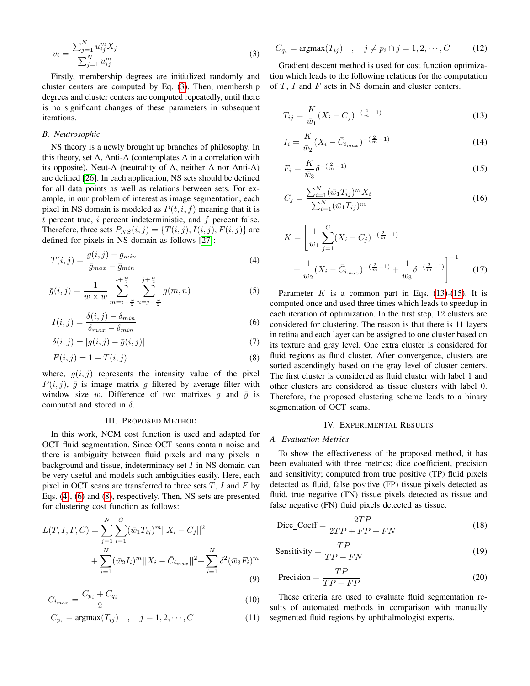<span id="page-1-0"></span>
$$
v_i = \frac{\sum_{j=1}^{N} u_{ij}^m X_j}{\sum_{j=1}^{N} u_{ij}^m}
$$
\n(3)

Firstly, membership degrees are initialized randomly and cluster centers are computed by Eq. [\(3\)](#page-1-0). Then, membership degrees and cluster centers are computed repeatedly, until there is no significant changes of these parameters in subsequent iterations.

# *B. Neutrosophic*

NS theory is a newly brought up branches of philosophy. In this theory, set A, Anti-A (contemplates A in a correlation with its opposite), Neut-A (neutrality of A, neither A nor Anti-A) are defined [\[26\]](#page-3-13). In each application, NS sets should be defined for all data points as well as relations between sets. For example, in our problem of interest as image segmentation, each pixel in NS domain is modeled as  $P(t, i, f)$  meaning that it is  $t$  percent true,  $i$  percent indeterministic, and  $f$  percent false. Therefore, three sets  $P_{NS}(i, j) = \{T(i, j), I(i, j), F(i, j)\}\$ are defined for pixels in NS domain as follows [\[27\]](#page-3-14):

<span id="page-1-1"></span>
$$
T(i,j) = \frac{\bar{g}(i,j) - \bar{g}_{min}}{\bar{g}_{max} - \bar{g}_{min}}\tag{4}
$$

$$
\bar{g}(i,j) = \frac{1}{w \times w} \sum_{m=i-\frac{w}{2}}^{i+\frac{w}{2}} \sum_{n=j-\frac{w}{2}}^{j+\frac{w}{2}} g(m,n) \tag{5}
$$

<span id="page-1-2"></span>
$$
I(i,j) = \frac{\delta(i,j) - \delta_{min}}{\delta_{max} - \delta_{min}}
$$
\n(6)

$$
\delta(i,j) = |g(i,j) - \bar{g}(i,j)|\tag{7}
$$

<span id="page-1-3"></span>
$$
F(i,j) = 1 - T(i,j) \tag{8}
$$

where,  $g(i, j)$  represents the intensity value of the pixel  $P(i, j)$ ,  $\bar{g}$  is image matrix g filtered by average filter with window size w. Difference of two matrixes  $g$  and  $\bar{g}$  is computed and stored in  $\delta$ .

# III. PROPOSED METHOD

In this work, NCM cost function is used and adapted for OCT fluid segmentation. Since OCT scans contain noise and there is ambiguity between fluid pixels and many pixels in background and tissue, indeterminacy set  $I$  in NS domain can be very useful and models such ambiguities easily. Here, each pixel in OCT scans are transferred to three sets  $T$ ,  $I$  and  $F$  by Eqs. [\(4\)](#page-1-1), [\(6\)](#page-1-2) and [\(8\)](#page-1-3), respectively. Then, NS sets are presented for clustering cost function as follows:

$$
L(T, I, F, C) = \sum_{j=1}^{N} \sum_{i=1}^{C} (\bar{w}_1 T_{ij})^m ||X_i - C_j||^2
$$
  
+ 
$$
\sum_{i=1}^{N} (\bar{w}_2 I_i)^m ||X_i - \bar{C}_{i_{max}}||^2 + \sum_{i=1}^{N} \delta^2 (\bar{w}_3 F_i)^m
$$
(9)

$$
\bar{C}_{i_{max}} = \frac{C_{p_i} + C_{q_i}}{2} \tag{10}
$$

$$
C_{p_i} = \operatorname{argmax}(T_{ij}) \quad , \quad j = 1, 2, \cdots, C \tag{11}
$$

$$
C_{q_i} = \operatorname{argmax}(T_{ij}) \quad , \quad j \neq p_i \cap j = 1, 2, \cdots, C \tag{12}
$$

Gradient descent method is used for cost function optimization which leads to the following relations for the computation of  $T$ ,  $I$  and  $F$  sets in NS domain and cluster centers.

<span id="page-1-4"></span>
$$
T_{ij} = \frac{K}{\bar{w}_1} (X_i - C_j)^{-(\frac{2}{m} - 1)}
$$
\n(13)

$$
I_i = \frac{K}{\bar{w}_2} (X_i - \bar{C}_{i_{max}})^{-(\frac{2}{m}-1)}
$$
\n(14)

<span id="page-1-5"></span>
$$
F_i = \frac{K}{\bar{w}_3} \delta^{-(\frac{2}{m}-1)}
$$
\n(15)

$$
C_j = \frac{\sum_{i=1}^{N} (\bar{w}_1 T_{ij})^m X_i}{\sum_{i=1}^{N} (\bar{w}_1 T_{ij})^m}
$$
(16)

$$
K = \left[\frac{1}{\bar{w}_1} \sum_{j=1}^{C} (X_i - C_j)^{-(\frac{2}{m}-1)} + \frac{1}{\bar{w}_2} (X_i - \bar{C}_{i_{max}})^{-(\frac{2}{m}-1)} + \frac{1}{\bar{w}_3} \delta^{-(\frac{2}{m}-1)}\right]^{-1}
$$
(17)

Parameter  $K$  is a common part in Eqs. [\(13\)](#page-1-4)-[\(15\)](#page-1-5). It is computed once and used three times which leads to speedup in each iteration of optimization. In the first step, 12 clusters are considered for clustering. The reason is that there is 11 layers in retina and each layer can be assigned to one cluster based on its texture and gray level. One extra cluster is considered for fluid regions as fluid cluster. After convergence, clusters are sorted ascendingly based on the gray level of cluster centers. The first cluster is considered as fluid cluster with label 1 and other clusters are considered as tissue clusters with label 0. Therefore, the proposed clustering scheme leads to a binary segmentation of OCT scans.

## IV. EXPERIMENTAL RESULTS

### *A. Evaluation Metrics*

To show the effectiveness of the proposed method, it has been evaluated with three metrics; dice coefficient, precision and sensitivity; computed from true positive (TP) fluid pixels detected as fluid, false positive (FP) tissue pixels detected as fluid, true negative (TN) tissue pixels detected as tissue and false negative (FN) fluid pixels detected as tissue.

$$
\text{Dice\_Coeff} = \frac{2TP}{2TP + FP + FN} \tag{18}
$$

$$
Sensitivity = \frac{TP}{TP + FN}
$$
 (19)

$$
Precision = \frac{TP}{TP + FP}
$$
 (20)

These criteria are used to evaluate fluid segmentation results of automated methods in comparison with manually segmented fluid regions by ophthalmologist experts.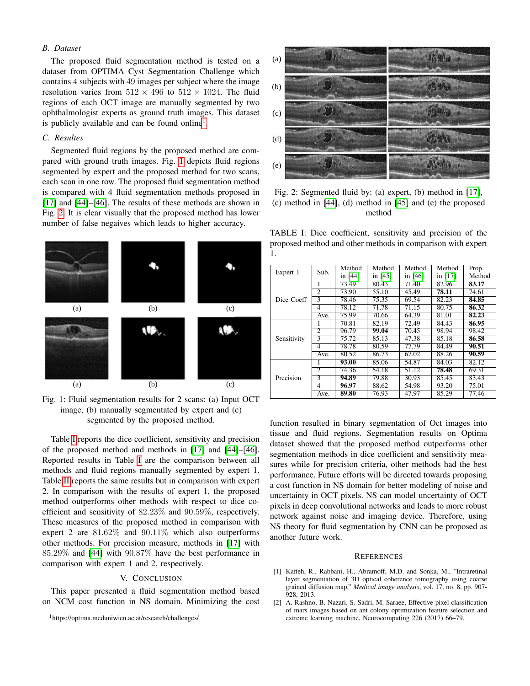# *B. Dataset*

The proposed fluid segmentation method is tested on a dataset from OPTIMA Cyst Segmentation Challenge which contains 4 subjects with 49 images per subject where the image resolution varies from  $512 \times 496$  to  $512 \times 1024$ . The fluid regions of each OCT image are manually segmented by two ophthalmologist experts as ground truth images. This dataset is publicly available and can be found online<sup>[1](#page-2-2)</sup>.

## *C. Resultes*

Segmented fluid regions by the proposed method are compared with ground truth images. Fig. [1](#page-2-3) depicts fluid regions segmented by expert and the proposed method for two scans, each scan in one row. The proposed fluid segmentation method is compared with 4 fluid segmentation methods proposed in [\[17\]](#page-3-20) and [\[44\]](#page-4-6)–[\[46\]](#page-4-7). The results of these methods are shown in Fig. [2.](#page-2-4) It is clear visually that the proposed method has lower number of false negaives which leads to higher accuracy.

<span id="page-2-3"></span>

Fig. 1: Fluid segmentation results for 2 scans: (a) Input OCT image, (b) manually segmentated by expert and (c) segmented by the proposed method.

Table [I](#page-2-5) reports the dice coefficient, sensitivity and precision of the proposed method and methods in [\[17\]](#page-3-20) and [\[44\]](#page-4-6)–[\[46\]](#page-4-7). Reported results in Table [I](#page-2-5) are the comparison between all methods and fluid regions manually segmented by expert 1. Table [II](#page-3-21) reports the same results but in comparison with expert 2. In comparison with the results of expert 1, the proposed method outperforms other methods with respect to dice coefficient and sensitivity of 82.23% and 90.59%, respectively. These measures of the proposed method in comparison with expert 2 are 81.62% and 90.11% which also outperforms other methods. For precision measure, methods in [\[17\]](#page-3-20) with 85.29% and [\[44\]](#page-4-6) with 90.87% have the best performance in comparison with expert 1 and 2, respectively.

# V. CONCLUSION

This paper presented a fluid segmentation method based on NCM cost function in NS domain. Minimizing the cost

<span id="page-2-2"></span><sup>1</sup>https://optima.meduniwien.ac.at/research/challenges/

<span id="page-2-4"></span>

Fig. 2: Segmented fluid by: (a) expert, (b) method in [\[17\]](#page-3-20), (c) method in [\[44\]](#page-4-6), (d) method in [\[45\]](#page-4-8) and (e) the proposed method

<span id="page-2-5"></span>TABLE I: Dice coefficient, sensitivity and precision of the proposed method and other methods in comparison with expert 1.

| Expert 1    | Sub.                     | Method  | Method  | Method    | Method    | Prop.  |
|-------------|--------------------------|---------|---------|-----------|-----------|--------|
|             |                          | in [44] | in [45] | in $[46]$ | in $[17]$ | Method |
| Dice Coeff  | 1                        | 73.49   | 80.43   | 71.40     | 82.96     | 83.17  |
|             | $\overline{2}$           | 73.90   | 55.10   | 45.49     | 78.11     | 74.61  |
|             | 3                        | 78.46   | 75.35   | 69.54     | 82.23     | 84.85  |
|             | 4                        | 78.12   | 71.78   | 71.15     | 80.75     | 86.32  |
|             | Ave.                     | 75.99   | 70.66   | 64.39     | 81.01     | 82.23  |
| Sensitivity | 1                        | 70.81   | 82.19   | 72.49     | 84.43     | 86.95  |
|             | 2                        | 96.79   | 99.04   | 70.45     | 98.94     | 98.42  |
|             | 3                        | 75.72   | 85.13   | 47.38     | 85.18     | 86.58  |
|             | $\overline{\mathcal{A}}$ | 78.78   | 80.59   | 77.79     | 84.49     | 90.51  |
|             | Ave.                     | 80.52   | 86.73   | 67.02     | 88.26     | 90.59  |
| Precision   | 1                        | 93.00   | 85.06   | 54.87     | 84.03     | 82.12  |
|             | $\overline{\mathcal{L}}$ | 74.36   | 54.18   | 51.12     | 78.48     | 69.31  |
|             | 3                        | 94.89   | 79.88   | 30.93     | 85.45     | 83.43  |
|             | 4                        | 96.97   | 88.62   | 54.98     | 93.20     | 75.01  |
|             | Ave.                     | 89.80   | 76.93   | 47.97     | 85.29     | 77.46  |

function resulted in binary segmentation of Oct images into tissue and fluid regions. Segmentation results on Optima dataset showed that the proposed method outperforms other segmentation methods in dice coefficient and sensitivity measures while for precision criteria, other methods had the best performance. Future efforts will be directed towards proposing a cost function in NS domain for better modeling of noise and uncertainty in OCT pixels. NS can model uncertainty of OCT pixels in deep convolutional networks and leads to more robust network against noise and imaging device. Therefore, using NS theory for fluid segmentation by CNN can be proposed as another future work.

### **REFERENCES**

- <span id="page-2-0"></span>[1] Kafieh, R., Rabbani, H., Abramoff, M.D. and Sonka, M., "Intraretinal layer segmentation of 3D optical coherence tomography using coarse grained diffusion map," *Medical image analysis*, vol. 17, no. 8, pp. 907- 928, 2013.
- <span id="page-2-1"></span>[2] A. Rashno, B. Nazari, S. Sadri, M. Saraee, Effective pixel classification of mars images based on ant colony optimization feature selection and extreme learning machine, Neurocomputing 226 (2017) 66–79.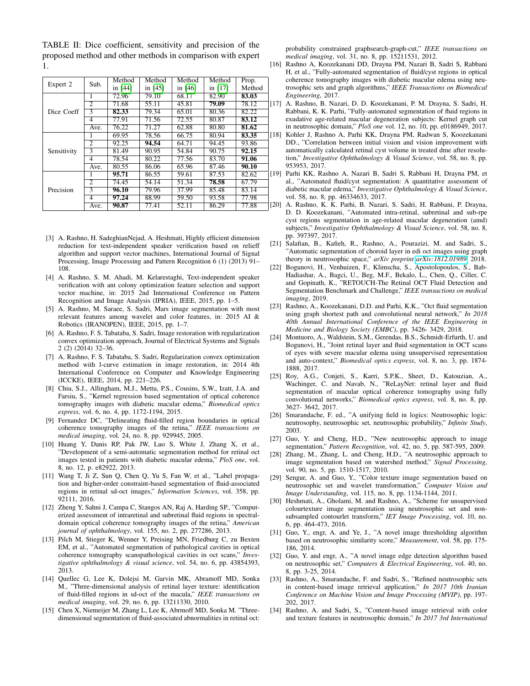<span id="page-3-21"></span>TABLE II: Dice coefficient, sensitivity and precision of the proposed method and other methods in comparison with expert 1.

| Expert 2    | Sub.           | Method  | Method    | Method    | Method    | Prop.  |   |
|-------------|----------------|---------|-----------|-----------|-----------|--------|---|
|             |                | in [44] | in $[45]$ | in $[46]$ | in $[17]$ | Method |   |
| Dice Coeff  | 1              | 72.96   | 79.10     | 68.17     | 82.90     | 83.03  |   |
|             | 2              | 71.68   | 55.11     | 45.81     | 79.09     | 78.12  | L |
|             | 3              | 82.33   | 79.34     | 65.01     | 80.36     | 82.22  |   |
|             | 4              | 77.91   | 71.56     | 72.55     | 80.87     | 83.12  |   |
|             | Ave.           | 76.22   | 71.27     | 62.88     | 80.80     | 81.62  |   |
|             |                | 69.95   | 78.56     | 66.75     | 80.94     | 83.35  |   |
| Sensitivity | $\overline{2}$ | 92.25   | 94.54     | 64.71     | 94.45     | 93.86  |   |
|             | 3              | 81.49   | 90.95     | 54.84     | 90.75     | 92.15  |   |
|             | 4              | 78.54   | 80.22     | 77.56     | 83.70     | 91.06  |   |
|             | Ave.           | 80.55   | 86.06     | 65.96     | 87.46     | 90.10  |   |
| Precision   |                | 95.71   | 86.55     | 59.61     | 87.53     | 82.62  | н |
|             | $\overline{c}$ | 74.45   | 54.14     | 51.34     | 78.58     | 67.79  |   |
|             | 3              | 96.10   | 79.96     | 37.99     | 85.48     | 83.14  |   |
|             | 4              | 97.24   | 88.99     | 59.50     | 93.58     | 77.98  |   |
|             | Ave.           | 90.87   | 77.41     | 52.11     | 86.29     | 77.88  | Ľ |

- [3] A. Rashno, H. SadeghianNejad, A. Heshmati, Highly efficient dimension reduction for text-independent speaker verification based on relieff algorithm and support vector machines, International Journal of Signal Processing, Image Processing and Pattern Recognition 6 (1) (2013) 91– 108.
- [4] A. Rashno, S. M. Ahadi, M. Kelarestaghi, Text-independent speaker verification with ant colony optimization feature selection and support vector machine, in: 2015 2nd International Conference on Pattern Recognition and Image Analysis (IPRIA), IEEE, 2015, pp. 1–5.
- [5] A. Rashno, M. Saraee, S. Sadri, Mars image segmentation with most relevant features among wavelet and color features, in: 2015 AI & Robotics (IRANOPEN), IEEE, 2015, pp. 1–7.
- [6] A. Rashno, F. S. Tabataba, S. Sadri, Image restoration with regularization convex optimization approach, Journal of Electrical Systems and Signals 2 (2) (2014) 32–36.
- <span id="page-3-0"></span>[7] A. Rashno, F. S. Tabataba, S. Sadri, Regularization convex optimization method with l-curve estimation in image restoration, in: 2014 4th International Conference on Computer and Knowledge Engineering (ICCKE), IEEE, 2014, pp. 221–226.
- <span id="page-3-1"></span>[8] Chiu, S.J., Allingham, M.J., Mettu, P.S., Cousins, S.W., Izatt, J.A. and Farsiu, S., "Kernel regression based segmentation of optical coherence tomography images with diabetic macular edema," *Biomedical optics express*, vol. 6, no. 4, pp. 1172-1194, 2015.
- <span id="page-3-2"></span>[9] Fernandez DC, "Delineating fluid-filled region boundaries in optical coherence tomography images of the retina," *IEEE transactions on medical imaging*, vol. 24, no. 8, pp. 929945, 2005.
- <span id="page-3-3"></span>[10] Huang Y, Danis RP, Pak JW, Luo S, White J, Zhang X, et al., "Development of a semi-automatic segmentation method for retinal oct images tested in patients with diabetic macular edema," *PloS one*, vol. 8, no. 12, p. e82922, 2013.
- <span id="page-3-4"></span>[11] Wang T, Ji Z, Sun Q, Chen Q, Yu S, Fan W, et al., "Label propagation and higher-order constraint-based segmentation of fluid-associated regions in retinal sd-oct images," *Information Sciences*, vol. 358, pp. 92111, 2016.
- <span id="page-3-5"></span>[12] Zheng Y, Sahni J, Campa C, Stangos AN, Raj A, Harding SP., "Computerized assessment of intraretinal and subretinal fluid regions in spectraldomain optical coherence tomography images of the retina," *American journal of ophthalmology*, vol. 155, no. 2, pp. 277286, 2013.
- <span id="page-3-6"></span>[13] Pilch M, Stieger K, Wenner Y, Preising MN, Friedburg C, zu Bexten EM, et al., "Automated segmentation of pathological cavities in optical coherence tomography scanspathological cavities in oct scans," *Investigative ophthalmology & visual science*, vol. 54, no. 6, pp. 43854393, 2013.
- <span id="page-3-7"></span>[14] Quellec G, Lee K, Dolejsi M, Garvin MK, Abramoff MD, Sonka M., "Three-dimensional analysis of retinal layer texture: identification of fluid-filled regions in sd-oct of the macula," *IEEE transactions on medical imaging*, vol. 29, no. 6, pp. 13211330, 2010.
- <span id="page-3-8"></span>[15] Chen X, Niemeijer M, Zhang L, Lee K, Abrmoff MD, Sonka M. "Threedimensional segmentation of fluid-associated abnormalities in retinal oct:

probability constrained graphsearch-graph-cut," *IEEE transactions on medical imaging*, vol. 31, no. 8, pp. 15211531, 2012.

- <span id="page-3-9"></span>[16] Rashno A, Koozekanani DD, Drayna PM, Nazari B, Sadri S, Rabbani H, et al., "Fully-automated segmentation of fluid/cyst regions in optical coherence tomography images with diabetic macular edema using neutrosophic sets and graph algorithms," *IEEE Transactions on Biomedical Engineering*, 2017.
- <span id="page-3-20"></span>[17] A. Rashno, B. Nazari, D. D. Koozekanani, P. M. Drayna, S. Sadri, H. Rabbani, K. K. Parhi, "Fully-automated segmentation of fluid regions in exudative age-related macular degeneration subjects: Kernel graph cut in neutrosophic domain," *PloS one* vol. 12, no. 10, pp. e0186949, 2017.
- [18] Kohler J, Rashno A, Parhi KK, Drayna PM, Radwan S, Koozekanani DD., "Correlation between initial vision and vision improvement with automatically calculated retinal cyst volume in treated dme after resolution," *Investigative Ophthalmology & Visual Science*, vol. 58, no. 8, pp. 953953, 2017.
- [19] Parhi KK, Rashno A, Nazari B, Sadri S, Rabbani H, Drayna PM, et al., "Automated fluid/cyst segmentation: A quantitative assessment of diabetic macular edema," *Investigative Ophthalmology & Visual Science*, vol. 58, no. 8, pp. 46334633, 2017.
- <span id="page-3-19"></span>[20] A. Rashno, K. K. Parhi, B. Nazari, S. Sadri, H. Rabbani, P. Drayna, D. D. Koozekanani, "Automated intra-retinal, subretinal and sub-rpe cyst regions segmentation in age-related macular degeneration (amd) subjects," *Investigative Ophthalmology & Visual Science*, vol. 58, no. 8, pp. 397397, 2017.
- <span id="page-3-10"></span>[21] Salafian, B., Kafieh, R., Rashno, A., Pourazizi, M. and Sadri, S., "Automatic segmentation of choroid layer in edi oct images using graph theory in neutrosophic space," *arXiv preprint [arXiv:1812.01989](http://arxiv.org/abs/1812.01989)*, 2018.
- <span id="page-3-11"></span>[22] Bogunovi, H., Venhuizen, F., Klimscha, S., Apostolopoulos, S., Bab-Hadiashar, A., Bagci, U., Beg, M.F., Bekalo, L., Chen, Q., Ciller, C. and Gopinath, K., "RETOUCH-The Retinal OCT Fluid Detection and Segmentation Benchmark and Challenge," *IEEE transactions on medical imaging*, 2019.
- [23] Rashno, A., Koozekanani, D.D. and Parhi, K.K., "Oct fluid segmentation using graph shortest path and convolutional neural network," *In 2018 40th Annual International Conference of the IEEE Engineering in Medicine and Biology Society (EMBC)*, pp. 3426- 3429, 2018.
- [24] Montuoro, A., Waldstein, S.M., Gerendas, B.S., Schmidt-Erfurth, U. and Bogunovi, H., "Joint retinal layer and fluid segmentation in OCT scans of eyes with severe macular edema using unsupervised representation and auto-context," *Biomedical optics express*, vol. 8, no. 3, pp. 1874- 1888, 2017.
- <span id="page-3-12"></span>[25] Roy, A.G., Conjeti, S., Karri, S.P.K., Sheet, D., Katouzian, A., Wachinger, C. and Navab, N., "ReLayNet: retinal layer and fluid segmentation of macular optical coherence tomography using fully convolutional networks," *Biomedical optics express*, vol. 8, no. 8, pp. 3627- 3642, 2017.
- <span id="page-3-13"></span>[26] Smarandache, F. ed., "A unifying field in logics: Neutrosophic logic: neutrosophy, neutrosophic set, neutrosophic probability," *Infinite Study*, 2003.
- <span id="page-3-14"></span>[27] Guo, Y. and Cheng, H.D., "New neutrosophic approach to image segmentation," *Pattern Recognition*, vol. 42, no. 5, pp. 587-595, 2009.
- [28] Zhang, M., Zhang, L. and Cheng, H.D., "A neutrosophic approach to image segmentation based on watershed method," *Signal Processing*, vol. 90, no. 5, pp. 1510-1517, 2010.
- [29] Sengur, A. and Guo, Y., "Color texture image segmentation based on neutrosophic set and wavelet transformation," *Computer Vision and Image Understanding*, vol. 115, no. 8, pp. 1134-1144, 2011.
- <span id="page-3-15"></span>[30] Heshmati, A., Gholami, M. and Rashno, A., "Scheme for unsupervised colourtexture image segmentation using neutrosophic set and nonsubsampled contourlet transform," *IET Image Processing*, vol. 10, no. 6, pp. 464-473, 2016.
- <span id="page-3-16"></span>[31] Guo, Y., engr, A. and Ye, J., "A novel image thresholding algorithm based on neutrosophic similarity score," *Measurement*, vol. 58, pp. 175- 186, 2014.
- <span id="page-3-17"></span>[32] Guo, Y. and engr, A., "A novel image edge detection algorithm based on neutrosophic set," *Computers & Electrical Engineering*, vol. 40, no. 8, pp. 3-25, 2014.
- <span id="page-3-18"></span>[33] Rashno, A., Smarandache, F. and Sadri, S., "Refined neutrosophic sets in content-based image retrieval application," *In 2017 10th Iranian Conference on Machine Vision and Image Processing (MVIP)*, pp. 197- 202, 2017.
- [34] Rashno, A. and Sadri, S., "Content-based image retrieval with color and texture features in neutrosophic domain," *In 2017 3rd International*